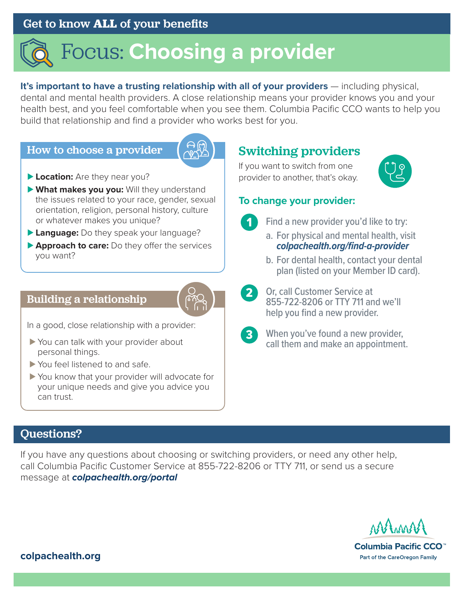## Get to know **ALL** of your benefits

# Focus: **Choosing a provider**

**It's important to have a trusting relationship with all of your providers** — including physical, dental and mental health providers. A close relationship means your provider knows you and your health best, and you feel comfortable when you see them. Columbia Pacific CCO wants to help you build that relationship and find a provider who works best for you.

#### How to choose a provider



- ► Location: Are they near you?
- ▶ What makes you you: Will they understand the issues related to your race, gender, sexual orientation, religion, personal history, culture or whatever makes you unique?
- ▶ Language: Do they speak your language?
- **► Approach to care:** Do they offer the services you want?

#### Building a relationship

In a good, close relationship with a provider:

- ► You can talk with your provider about personal things.
- ▶ You feel listened to and safe.
- ▶ You know that your provider will advocate for your unique needs and give you advice you can trust.

## Switching providers

If you want to switch from one provider to another, that's okay.



#### **To change your provider:**



- Find a new provider you'd like to try:
- a. For physical and mental health, visit *[colpachealth.org/find-a-provider](http://colpachealth.org/find-a-provider)*
- b. For dental health, contact your dental plan (listed on your Member ID card).
- 
- 2 Or, call Customer Service at 855-722-8206 or TTY 711 and we'll help you find a new provider.
- 
- **3** When you've found a new provider, call them and make an appointment.

## Questions?

If you have any questions about choosing or switching providers, or need any other help, call Columbia Pacific Customer Service at 855-722-8206 or TTY 711, or send us a secure message at *[colpachealth.org/portal](http://colpachealth.org/portal)*



Columbia Pacific CCO<sup>™</sup> Part of the CareOregon Family

**[colpachealth.org](http://colpachealth.org)**